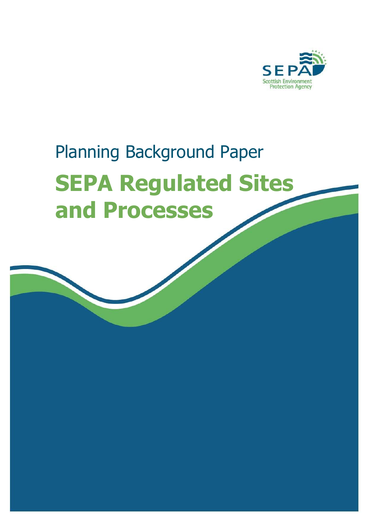

# Planning Background Paper **SEPA Regulated Sites and Processes**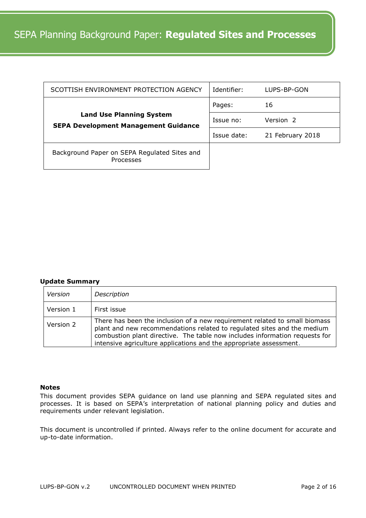| SCOTTISH ENVIRONMENT PROTECTION AGENCY                                         | Identifier: | LUPS-BP-GON      |
|--------------------------------------------------------------------------------|-------------|------------------|
|                                                                                | Pages:      | 16               |
| <b>Land Use Planning System</b><br><b>SEPA Development Management Guidance</b> | Issue no:   | Version 2        |
|                                                                                | Issue date: | 21 February 2018 |
| Background Paper on SEPA Regulated Sites and<br><b>Processes</b>               |             |                  |

#### **Update Summary**

| Version   | Description                                                                                                                                                                                                                                                                                                |
|-----------|------------------------------------------------------------------------------------------------------------------------------------------------------------------------------------------------------------------------------------------------------------------------------------------------------------|
| Version 1 | First issue                                                                                                                                                                                                                                                                                                |
| Version 2 | There has been the inclusion of a new requirement related to small biomass<br>plant and new recommendations related to regulated sites and the medium<br>combustion plant directive. The table now includes information requests for<br>intensive agriculture applications and the appropriate assessment. |

# **Notes**

This document provides SEPA guidance on land use planning and SEPA regulated sites and processes. It is based on SEPA's interpretation of national planning policy and duties and requirements under relevant legislation.

This document is uncontrolled if printed. Always refer to the online document for accurate and up-to-date information.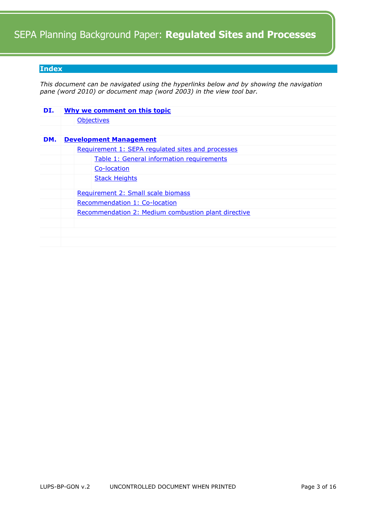## <span id="page-2-0"></span>**Index**

*This document can be navigated using the hyperlinks below and by showing the navigation pane (word 2010) or document map (word 2003) in the view tool bar.* 

| DI. |  | Why we comment on this topic                        |
|-----|--|-----------------------------------------------------|
|     |  | <b>Objectives</b>                                   |
|     |  |                                                     |
| DM. |  | <b>Development Management</b>                       |
|     |  | Requirement 1: SEPA regulated sites and processes   |
|     |  | Table 1: General information requirements           |
|     |  | Co-location                                         |
|     |  | <b>Stack Heights</b>                                |
|     |  | Requirement 2: Small scale biomass                  |
|     |  | Recommendation 1: Co-location                       |
|     |  | Recommendation 2: Medium combustion plant directive |
|     |  |                                                     |
|     |  |                                                     |
|     |  |                                                     |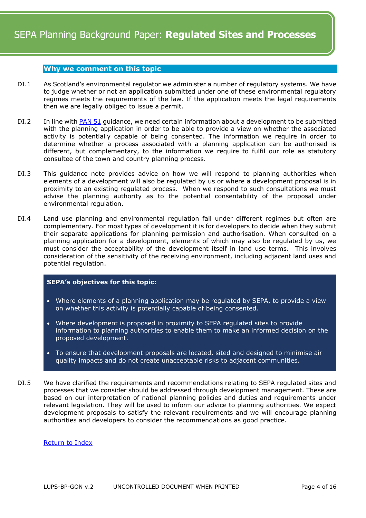# <span id="page-3-0"></span>**Why we comment on this topic**

- DI.1 As Scotland's environmental regulator we administer a number of regulatory systems. We have to judge whether or not an application submitted under one of these environmental regulatory regimes meets the requirements of the law. If the application meets the legal requirements then we are legally obliged to issue a permit.
- DI.2 In line with **PAN 51** guidance, we need certain information about a development to be submitted with the planning application in order to be able to provide a view on whether the associated activity is potentially capable of being consented. The information we require in order to determine whether a process associated with a planning application can be authorised is different, but complementary, to the information we require to fulfil our role as statutory consultee of the town and country planning process.
- DI.3 This guidance note provides advice on how we will respond to planning authorities when elements of a development will also be regulated by us or where a development proposal is in proximity to an existing regulated process. When we respond to such consultations we must advise the planning authority as to the potential consentability of the proposal under environmental regulation.
- DI.4 Land use planning and environmental regulation fall under different regimes but often are complementary. For most types of development it is for developers to decide when they submit their separate applications for planning permission and authorisation. When consulted on a planning application for a development, elements of which may also be regulated by us, we must consider the acceptability of the development itself in land use terms. This involves consideration of the sensitivity of the receiving environment, including adjacent land uses and potential regulation.

#### <span id="page-3-1"></span>**SEPA's objectives for this topic:**

- Where elements of a planning application may be regulated by SEPA, to provide a view on whether this activity is potentially capable of being consented.
- Where development is proposed in proximity to SEPA regulated sites to provide information to planning authorities to enable them to make an informed decision on the proposed development.
- To ensure that development proposals are located, sited and designed to minimise air quality impacts and do not create unacceptable risks to adjacent communities.
- <span id="page-3-2"></span>DI.5 We have clarified the requirements and recommendations relating to SEPA regulated sites and processes that we consider should be addressed through development management. These are based on our interpretation of national planning policies and duties and requirements under relevant legislation. They will be used to inform our advice to planning authorities. We expect development proposals to satisfy the relevant requirements and we will encourage planning authorities and developers to consider the recommendations as good practice.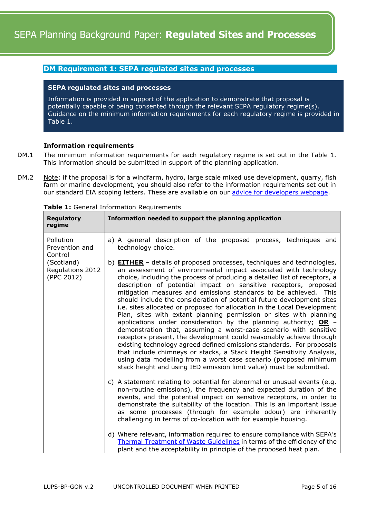# <span id="page-4-0"></span>**DM Requirement 1: SEPA regulated sites and processes**

#### **SEPA regulated sites and processes**

Information is provided in support of the application to demonstrate that proposal is potentially capable of being consented through the relevant SEPA regulatory regime(s). Guidance on the minimum information requirements for each regulatory regime is provided in Table 1.

## **Information requirements**

- DM.1 The minimum information requirements for each regulatory regime is set out in the Table 1. This information should be submitted in support of the planning application.
- DM.2 Note: if the proposal is for a windfarm, hydro, large scale mixed use development, quarry, fish farm or marine development, you should also refer to the information requirements set out in our standard EIA scoping letters. These are available on our [advice for developers webpage.](https://www.sepa.org.uk/environment/land/planning/advice-for-developers/)

| <b>Regulatory</b><br>regime                  | Information needed to support the planning application                                                                                                                                                                                                                                                                                                                                                                                                                                                                                                                                                                                                                                                                                                                                                                                                                                                                                                                                                                                                                                                               |
|----------------------------------------------|----------------------------------------------------------------------------------------------------------------------------------------------------------------------------------------------------------------------------------------------------------------------------------------------------------------------------------------------------------------------------------------------------------------------------------------------------------------------------------------------------------------------------------------------------------------------------------------------------------------------------------------------------------------------------------------------------------------------------------------------------------------------------------------------------------------------------------------------------------------------------------------------------------------------------------------------------------------------------------------------------------------------------------------------------------------------------------------------------------------------|
| Pollution<br>Prevention and<br>Control       | a) A general description of the proposed process, techniques and<br>technology choice.                                                                                                                                                                                                                                                                                                                                                                                                                                                                                                                                                                                                                                                                                                                                                                                                                                                                                                                                                                                                                               |
| (Scotland)<br>Regulations 2012<br>(PPC 2012) | b) <b>EITHER</b> - details of proposed processes, techniques and technologies,<br>an assessment of environmental impact associated with technology<br>choice, including the process of producing a detailed list of receptors, a<br>description of potential impact on sensitive receptors, proposed<br>mitigation measures and emissions standards to be achieved. This<br>should include the consideration of potential future development sites<br>i.e. sites allocated or proposed for allocation in the Local Development<br>Plan, sites with extant planning permission or sites with planning<br>applications under consideration by the planning authority; OR $-$<br>demonstration that, assuming a worst-case scenario with sensitive<br>receptors present, the development could reasonably achieve through<br>existing technology agreed defined emissions standards. For proposals<br>that include chimneys or stacks, a Stack Height Sensitivity Analysis,<br>using data modelling from a worst case scenario (proposed minimum<br>stack height and using IED emission limit value) must be submitted. |
|                                              | c) A statement relating to potential for abnormal or unusual events (e.g.<br>non-routine emissions), the frequency and expected duration of the<br>events, and the potential impact on sensitive receptors, in order to<br>demonstrate the suitability of the location. This is an important issue<br>as some processes (through for example odour) are inherently<br>challenging in terms of co-location with for example housing.                                                                                                                                                                                                                                                                                                                                                                                                                                                                                                                                                                                                                                                                                  |
|                                              | d) Where relevant, information required to ensure compliance with SEPA's<br>Thermal Treatment of Waste Guidelines in terms of the efficiency of the<br>plant and the acceptability in principle of the proposed heat plan.                                                                                                                                                                                                                                                                                                                                                                                                                                                                                                                                                                                                                                                                                                                                                                                                                                                                                           |

<span id="page-4-1"></span>**Table 1:** General Information Requirements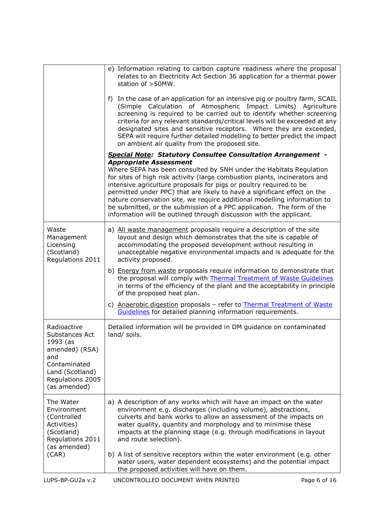|                                                                                                                                           | e) Information relating to carbon capture readiness where the proposal<br>relates to an Electricity Act Section 36 application for a thermal power<br>station of >50MW.                                                                                                                                                                                                                                                                                                                                                                                         |              |
|-------------------------------------------------------------------------------------------------------------------------------------------|-----------------------------------------------------------------------------------------------------------------------------------------------------------------------------------------------------------------------------------------------------------------------------------------------------------------------------------------------------------------------------------------------------------------------------------------------------------------------------------------------------------------------------------------------------------------|--------------|
|                                                                                                                                           | f) In the case of an application for an intensive pig or poultry farm, SCAIL<br>(Simple Calculation of Atmospheric Impact Limits) Agriculture<br>screening is required to be carried out to identify whether screening<br>criteria for any relevant standards/critical levels will be exceeded at any<br>designated sites and sensitive receptors. Where they are exceeded,<br>SEPA will require further detailed modelling to better predict the impact<br>on ambient air quality from the proposed site.                                                      |              |
|                                                                                                                                           | <b>Special Note: Statutory Consultee Consultation Arrangement -</b>                                                                                                                                                                                                                                                                                                                                                                                                                                                                                             |              |
|                                                                                                                                           | <b>Appropriate Assessment</b><br>Where SEPA has been consulted by SNH under the Habitats Regulation<br>for sites of high risk activity (large combustion plants, incinerators and<br>intensive agriculture proposals for pigs or poultry required to be<br>permitted under PPC) that are likely to have a significant effect on the<br>nature conservation site, we require additional modelling information to<br>be submitted, or the submission of a PPC application. The form of the<br>information will be outlined through discussion with the applicant. |              |
| Waste<br>Management<br>Licensing<br>(Scotland)<br>Regulations 2011                                                                        | a) All waste management proposals require a description of the site<br>layout and design which demonstrates that the site is capable of<br>accommodating the proposed development without resulting in<br>unacceptable negative environmental impacts and is adequate for the<br>activity proposed.                                                                                                                                                                                                                                                             |              |
|                                                                                                                                           | b) Energy from waste proposals require information to demonstrate that<br>the proposal will comply with Thermal Treatment of Waste Guidelines<br>in terms of the efficiency of the plant and the acceptability in principle<br>of the proposed heat plan.                                                                                                                                                                                                                                                                                                       |              |
|                                                                                                                                           | c) Anaerobic digestion proposals - refer to Thermal Treatment of Waste<br>Guidelines for detailed planning information requirements.                                                                                                                                                                                                                                                                                                                                                                                                                            |              |
| Radioactive<br>Substances Act<br>1993 (as<br>amended) (RSA)<br>and<br>Contaminated<br>Land (Scotland)<br>Regulations 2005<br>(as amended) | Detailed information will be provided in DM guidance on contaminated<br>land/ soils.                                                                                                                                                                                                                                                                                                                                                                                                                                                                            |              |
| The Water<br>Environment<br>(Controlled<br>Activities)<br>(Scotland)<br>Regulations 2011<br>(as amended)                                  | a) A description of any works which will have an impact on the water<br>environment e.g. discharges (including volume), abstractions,<br>culverts and bank works to allow an assessment of the impacts on<br>water quality, quantity and morphology and to minimise these<br>impacts at the planning stage (e.g. through modifications in layout<br>and route selection).                                                                                                                                                                                       |              |
| (CAR)                                                                                                                                     | b) A list of sensitive receptors within the water environment (e.g. other<br>water users, water dependent ecosystems) and the potential impact<br>the proposed activities will have on them.                                                                                                                                                                                                                                                                                                                                                                    |              |
| LUPS-BP-GU2a v.2                                                                                                                          | UNCONTROLLED DOCUMENT WHEN PRINTED                                                                                                                                                                                                                                                                                                                                                                                                                                                                                                                              | Page 6 of 16 |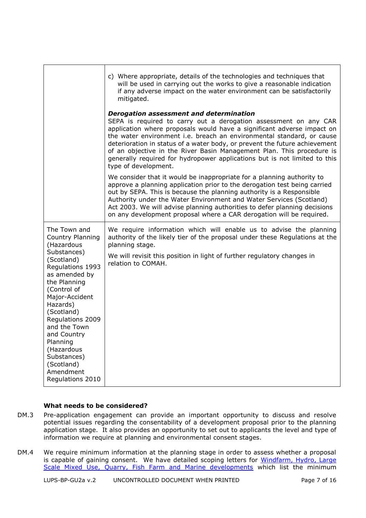|                                                                                                                                                                                                                                                                                                                                        | c) Where appropriate, details of the technologies and techniques that<br>will be used in carrying out the works to give a reasonable indication<br>if any adverse impact on the water environment can be satisfactorily<br>mitigated.                                                                                                                                                                                                                                                                                             |
|----------------------------------------------------------------------------------------------------------------------------------------------------------------------------------------------------------------------------------------------------------------------------------------------------------------------------------------|-----------------------------------------------------------------------------------------------------------------------------------------------------------------------------------------------------------------------------------------------------------------------------------------------------------------------------------------------------------------------------------------------------------------------------------------------------------------------------------------------------------------------------------|
|                                                                                                                                                                                                                                                                                                                                        | <b>Derogation assessment and determination</b><br>SEPA is required to carry out a derogation assessment on any CAR<br>application where proposals would have a significant adverse impact on<br>the water environment i.e. breach an environmental standard, or cause<br>deterioration in status of a water body, or prevent the future achievement<br>of an objective in the River Basin Management Plan. This procedure is<br>generally required for hydropower applications but is not limited to this<br>type of development. |
|                                                                                                                                                                                                                                                                                                                                        | We consider that it would be inappropriate for a planning authority to<br>approve a planning application prior to the derogation test being carried<br>out by SEPA. This is because the planning authority is a Responsible<br>Authority under the Water Environment and Water Services (Scotland)<br>Act 2003. We will advise planning authorities to defer planning decisions<br>on any development proposal where a CAR derogation will be required.                                                                           |
| The Town and<br>Country Planning<br>(Hazardous<br>Substances)<br>(Scotland)<br>Regulations 1993<br>as amended by<br>the Planning<br>(Control of<br>Major-Accident<br>Hazards)<br>(Scotland)<br>Regulations 2009<br>and the Town<br>and Country<br>Planning<br>(Hazardous<br>Substances)<br>(Scotland)<br>Amendment<br>Regulations 2010 | We require information which will enable us to advise the planning<br>authority of the likely tier of the proposal under these Regulations at the<br>planning stage.<br>We will revisit this position in light of further regulatory changes in<br>relation to COMAH.                                                                                                                                                                                                                                                             |

## **What needs to be considered?**

- DM.3 Pre-application engagement can provide an important opportunity to discuss and resolve potential issues regarding the consentability of a development proposal prior to the planning application stage. It also provides an opportunity to set out to applicants the level and type of information we require at planning and environmental consent stages.
- DM.4 We require minimum information at the planning stage in order to assess whether a proposal is capable of gaining consent. We have detailed scoping letters for Windfarm, Hydro, Large [Scale Mixed Use, Quarry, Fish Farm and Marine developments](http://www.sepa.org.uk/environment/land/planning/advice-for-developers/) which list the minimum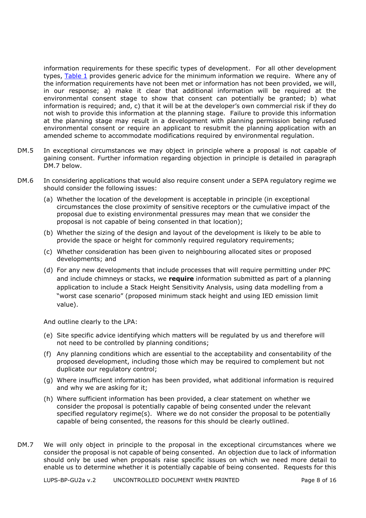information requirements for these specific types of development. For all other development types, [Table 1](#page-4-1) provides generic advice for the minimum information we require. Where any of the information requirements have not been met or information has not been provided, we will, in our response; a) make it clear that additional information will be required at the environmental consent stage to show that consent can potentially be granted; b) what information is required; and, c) that it will be at the developer's own commercial risk if they do not wish to provide this information at the planning stage. Failure to provide this information at the planning stage may result in a development with planning permission being refused environmental consent or require an applicant to resubmit the planning application with an amended scheme to accommodate modifications required by environmental regulation.

- DM.5 In exceptional circumstances we may object in principle where a proposal is not capable of gaining consent. Further information regarding objection in principle is detailed in paragraph DM.7 below.
- DM.6 In considering applications that would also require consent under a SEPA regulatory regime we should consider the following issues:
	- (a) Whether the location of the development is acceptable in principle (in exceptional circumstances the close proximity of sensitive receptors or the cumulative impact of the proposal due to existing environmental pressures may mean that we consider the proposal is not capable of being consented in that location);
	- (b) Whether the sizing of the design and layout of the development is likely to be able to provide the space or height for commonly required regulatory requirements;
	- (c) Whether consideration has been given to neighbouring allocated sites or proposed developments; and
	- (d) For any new developments that include processes that will require permitting under PPC and include chimneys or stacks, we **require** information submitted as part of a planning application to include a Stack Height Sensitivity Analysis, using data modelling from a "worst case scenario" (proposed minimum stack height and using IED emission limit value).

And outline clearly to the LPA:

- (e) Site specific advice identifying which matters will be regulated by us and therefore will not need to be controlled by planning conditions;
- (f) Any planning conditions which are essential to the acceptability and consentability of the proposed development, including those which may be required to complement but not duplicate our regulatory control;
- (g) Where insufficient information has been provided, what additional information is required and why we are asking for it;
- (h) Where sufficient information has been provided, a clear statement on whether we consider the proposal is potentially capable of being consented under the relevant specified regulatory regime(s). Where we do not consider the proposal to be potentially capable of being consented, the reasons for this should be clearly outlined.
- DM.7 We will only object in principle to the proposal in the exceptional circumstances where we consider the proposal is not capable of being consented. An objection due to lack of information should only be used when proposals raise specific issues on which we need more detail to enable us to determine whether it is potentially capable of being consented. Requests for this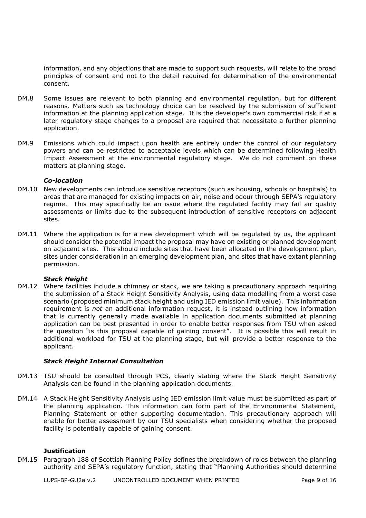information, and any objections that are made to support such requests, will relate to the broad principles of consent and not to the detail required for determination of the environmental consent.

- DM.8 Some issues are relevant to both planning and environmental regulation, but for different reasons. Matters such as technology choice can be resolved by the submission of sufficient information at the planning application stage. It is the developer's own commercial risk if at a later regulatory stage changes to a proposal are required that necessitate a further planning application.
- DM.9 Emissions which could impact upon health are entirely under the control of our regulatory powers and can be restricted to acceptable levels which can be determined following Health Impact Assessment at the environmental regulatory stage. We do not comment on these matters at planning stage.

## <span id="page-8-0"></span>*Co-location*

- DM.10 New developments can introduce sensitive receptors (such as housing, schools or hospitals) to areas that are managed for existing impacts on air, noise and odour through SEPA's regulatory regime. This may specifically be an issue where the regulated facility may fail air quality assessments or limits due to the subsequent introduction of sensitive receptors on adjacent sites.
- DM.11 Where the application is for a new development which will be regulated by us, the applicant should consider the potential impact the proposal may have on existing or planned development on adjacent sites. This should include sites that have been allocated in the development plan, sites under consideration in an emerging development plan, and sites that have extant planning permission.

#### <span id="page-8-1"></span>*Stack Height*

DM.12 Where facilities include a chimney or stack, we are taking a precautionary approach requiring the submission of a Stack Height Sensitivity Analysis, using data modelling from a worst case scenario (proposed minimum stack height and using IED emission limit value). This information requirement is *not* an additional information request, it is instead outlining how information that is currently generally made available in application documents submitted at planning application can be best presented in order to enable better responses from TSU when asked the question "is this proposal capable of gaining consent". It is possible this will result in additional workload for TSU at the planning stage, but will provide a better response to the applicant.

#### *Stack Height Internal Consultation*

- DM.13 TSU should be consulted through PCS, clearly stating where the Stack Height Sensitivity Analysis can be found in the planning application documents.
- DM.14 A Stack Height Sensitivity Analysis using IED emission limit value must be submitted as part of the planning application. This information can form part of the Environmental Statement, Planning Statement or other supporting documentation. This precautionary approach will enable for better assessment by our TSU specialists when considering whether the proposed facility is potentially capable of gaining consent.

#### **Justification**

DM.15 Paragraph 188 of Scottish Planning Policy defines the breakdown of roles between the planning authority and SEPA's regulatory function, stating that "Planning Authorities should determine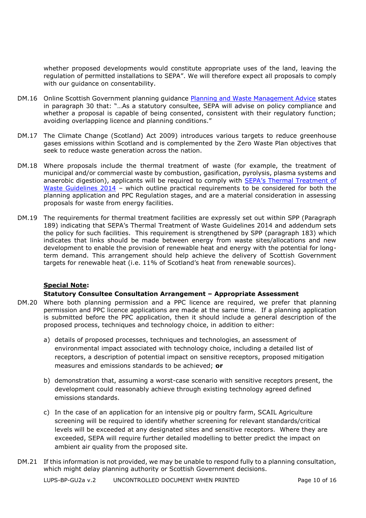whether proposed developments would constitute appropriate uses of the land, leaving the regulation of permitted installations to SEPA". We will therefore expect all proposals to comply with our guidance on consentability.

- DM.16 Online Scottish Government planning guidance [Planning and Waste Management Advice](https://beta.gov.scot/publications/planning-and-waste-management-advice/) states in paragraph 30 that: "…As a statutory consultee, SEPA will advise on policy compliance and whether a proposal is capable of being consented, consistent with their regulatory function; avoiding overlapping licence and planning conditions."
- DM.17 The Climate Change (Scotland) Act 2009) introduces various targets to reduce greenhouse gases emissions within Scotland and is complemented by the Zero Waste Plan objectives that seek to reduce waste generation across the nation.
- DM.18 Where proposals include the thermal treatment of waste (for example, the treatment of municipal and/or commercial waste by combustion, gasification, pyrolysis, plasma systems and anaerobic digestion), applicants will be required to comply with [SEPA's Thermal Treatm](https://www.sepa.org.uk/media/28983/thermal-treatment-of-waste-guidelines_2014.pdf)ent of [Waste Guidelines 2014](https://www.sepa.org.uk/media/28983/thermal-treatment-of-waste-guidelines_2014.pdf) – which outline practical requirements to be considered for both the planning application and PPC Regulation stages, and are a material consideration in assessing proposals for waste from energy facilities.
- DM.19 The requirements for thermal treatment facilities are expressly set out within SPP (Paragraph 189) indicating that SEPA's Thermal Treatment of Waste Guidelines 2014 and addendum sets the policy for such facilities. This requirement is strengthened by SPP (paragraph 183) which indicates that links should be made between energy from waste sites/allocations and new development to enable the provision of renewable heat and energy with the potential for longterm demand. This arrangement should help achieve the delivery of Scottish Government targets for renewable heat (i.e. 11% of Scotland's heat from renewable sources).

# **Special Note:**

## **Statutory Consultee Consultation Arrangement – Appropriate Assessment**

- DM.20 Where both planning permission and a PPC licence are required, we prefer that planning permission and PPC licence applications are made at the same time. If a planning application is submitted before the PPC application, then it should include a general description of the proposed process, techniques and technology choice, in addition to either:
	- a) details of proposed processes, techniques and technologies, an assessment of environmental impact associated with technology choice, including a detailed list of receptors, a description of potential impact on sensitive receptors, proposed mitigation measures and emissions standards to be achieved; **or**
	- b) demonstration that, assuming a worst-case scenario with sensitive receptors present, the development could reasonably achieve through existing technology agreed defined emissions standards.
	- c) In the case of an application for an intensive pig or poultry farm, SCAIL Agriculture screening will be required to identify whether screening for relevant standards/critical levels will be exceeded at any designated sites and sensitive receptors. Where they are exceeded, SEPA will require further detailed modelling to better predict the impact on ambient air quality from the proposed site.
- DM.21 If this information is not provided, we may be unable to respond fully to a planning consultation, which might delay planning authority or Scottish Government decisions.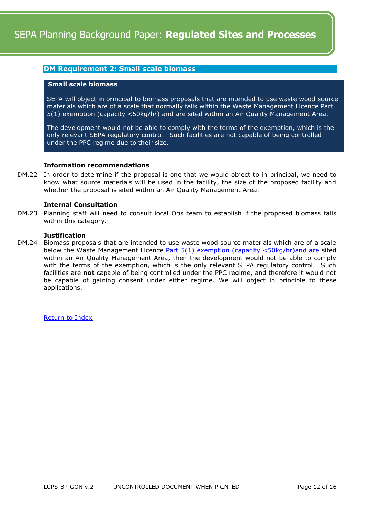## <span id="page-11-0"></span>**DM Requirement 2: Small scale biomass**

## **Small scale biomass**

SEPA will object in principal to biomass proposals that are intended to use waste wood source materials which are of a scale that normally falls within the Waste Management Licence Part 5(1) exemption (capacity <50kg/hr) and are sited within an Air Quality Management Area.

The development would not be able to comply with the terms of the exemption, which is the only relevant SEPA regulatory control. Such facilities are not capable of being controlled under the PPC regime due to their size.

#### **Information recommendations**

DM.22 In order to determine if the proposal is one that we would object to in principal, we need to know what source materials will be used in the facility, the size of the proposed facility and whether the proposal is sited within an Air Quality Management Area.

## **Internal Consultation**

DM.23 Planning staff will need to consult local Ops team to establish if the proposed biomass falls within this category.

#### **Justification**

DM.24 Biomass proposals that are intended to use waste wood source materials which are of a scale below the Waste Management Licence Part  $5(1)$  exemption (capacity  $\lt 50 \text{kg/hr}$ )and are sited within an Air Quality Management Area, then the development would not be able to comply with the terms of the exemption, which is the only relevant SEPA regulatory control. Such facilities are **not** capable of being controlled under the PPC regime, and therefore it would not be capable of gaining consent under either regime. We will object in principle to these applications.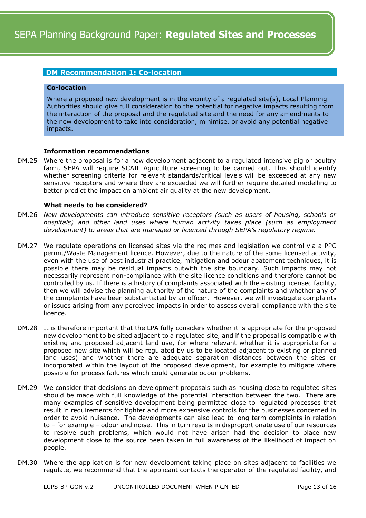# **DM Recommendation 1: Co-location**

#### **Co-location**

Where a proposed new development is in the vicinity of a regulated site(s), Local Planning Authorities should give full consideration to the potential for negative impacts resulting from the interaction of the proposal and the regulated site and the need for any amendments to the new development to take into consideration, minimise, or avoid any potential negative impacts.

## **Information recommendations**

DM.25 Where the proposal is for a new development adjacent to a regulated intensive pig or poultry farm, SEPA will require SCAIL Agriculture screening to be carried out. This should identify whether screening criteria for relevant standards/critical levels will be exceeded at any new sensitive receptors and where they are exceeded we will further require detailed modelling to better predict the impact on ambient air quality at the new development.

## **What needs to be considered?**

- DM.26 *New developments can introduce sensitive receptors (such as users of housing, schools or hospitals) and other land uses where human activity takes place (such as employment development) to areas that are managed or licenced through SEPA's regulatory regime.*
- DM.27 We regulate operations on licensed sites via the regimes and legislation we control via a PPC permit/Waste Management licence. However, due to the nature of the some licensed activity, even with the use of best industrial practice, mitigation and odour abatement techniques, it is possible there may be residual impacts outwith the site boundary. Such impacts may not necessarily represent non-compliance with the site licence conditions and therefore cannot be controlled by us. If there is a history of complaints associated with the existing licensed facility, then we will advise the planning authority of the nature of the complaints and whether any of the complaints have been substantiated by an officer. However, we will investigate complaints or issues arising from any perceived impacts in order to assess overall compliance with the site licence.
- DM.28 It is therefore important that the LPA fully considers whether it is appropriate for the proposed new development to be sited adjacent to a regulated site, and if the proposal is compatible with existing and proposed adjacent land use, (or where relevant whether it is appropriate for a proposed new site which will be regulated by us to be located adjacent to existing or planned land uses) and whether there are adequate separation distances between the sites or incorporated within the layout of the proposed development, for example to mitigate where possible for process failures which could generate odour problems**.**
- DM.29 We consider that decisions on development proposals such as housing close to regulated sites should be made with full knowledge of the potential interaction between the two. There are many examples of sensitive development being permitted close to regulated processes that result in requirements for tighter and more expensive controls for the businesses concerned in order to avoid nuisance. The developments can also lead to long term complaints in relation to – for example – odour and noise. This in turn results in disproportionate use of our resources to resolve such problems, which would not have arisen had the decision to place new development close to the source been taken in full awareness of the likelihood of impact on people.
- DM.30 Where the application is for new development taking place on sites adjacent to facilities we regulate, we recommend that the applicant contacts the operator of the regulated facility, and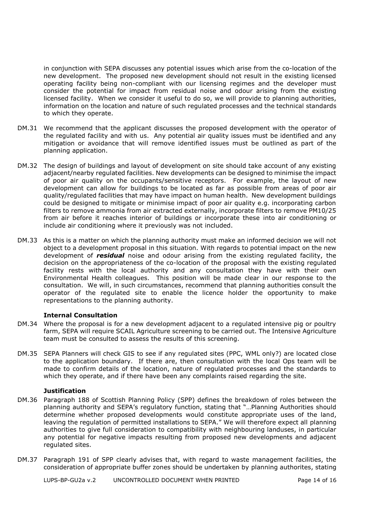in conjunction with SEPA discusses any potential issues which arise from the co-location of the new development. The proposed new development should not result in the existing licensed operating facility being non-compliant with our licensing regimes and the developer must consider the potential for impact from residual noise and odour arising from the existing licensed facility. When we consider it useful to do so, we will provide to planning authorities, information on the location and nature of such regulated processes and the technical standards to which they operate.

- DM.31 We recommend that the applicant discusses the proposed development with the operator of the regulated facility and with us. Any potential air quality issues must be identified and any mitigation or avoidance that will remove identified issues must be outlined as part of the planning application.
- DM.32 The design of buildings and layout of development on site should take account of any existing adjacent/nearby regulated facilities. New developments can be designed to minimise the impact of poor air quality on the occupants/sensitive receptors. For example, the layout of new development can allow for buildings to be located as far as possible from areas of poor air quality/regulated facilities that may have impact on human health. New development buildings could be designed to mitigate or minimise impact of poor air quality e.g. incorporating carbon filters to remove ammonia from air extracted externally, incorporate filters to remove PM10/25 from air before it reaches interior of buildings or incorporate these into air conditioning or include air conditioning where it previously was not included.
- DM.33 As this is a matter on which the planning authority must make an informed decision we will not object to a development proposal in this situation. With regards to potential impact on the new development of *residual* noise and odour arising from the existing regulated facility, the decision on the appropriateness of the co-location of the proposal with the existing regulated facility rests with the local authority and any consultation they have with their own Environmental Health colleagues. This position will be made clear in our response to the consultation. We will, in such circumstances, recommend that planning authorities consult the operator of the regulated site to enable the licence holder the opportunity to make representations to the planning authority.

## **Internal Consultation**

- DM.34 Where the proposal is for a new development adjacent to a regulated intensive pig or poultry farm, SEPA will require SCAIL Agriculture screening to be carried out. The Intensive Agriculture team must be consulted to assess the results of this screening.
- DM.35 SEPA Planners will check GIS to see if any regulated sites (PPC, WML only?) are located close to the application boundary. If there are, then consultation with the local Ops team will be made to confirm details of the location, nature of regulated processes and the standards to which they operate, and if there have been any complaints raised regarding the site.

#### **Justification**

- DM.36 Paragraph 188 of Scottish Planning Policy (SPP) defines the breakdown of roles between the planning authority and SEPA's regulatory function, stating that "…Planning Authorities should determine whether proposed developments would constitute appropriate uses of the land, leaving the regulation of permitted installations to SEPA." We will therefore expect all planning authorities to give full consideration to compatibility with neighbouring landuses, in particular any potential for negative impacts resulting from proposed new developments and adjacent regulated sites.
- DM.37 Paragraph 191 of SPP clearly advises that, with regard to waste management facilities, the consideration of appropriate buffer zones should be undertaken by planning authorites, stating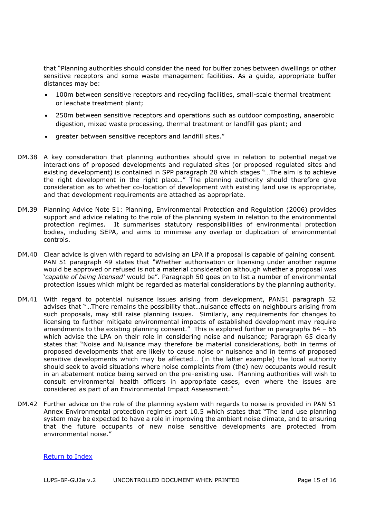that "Planning authorities should consider the need for buffer zones between dwellings or other sensitive receptors and some waste management facilities. As a guide, appropriate buffer distances may be:

- 100m between sensitive receptors and recycling facilities, small-scale thermal treatment or leachate treatment plant;
- 250m between sensitive receptors and operations such as outdoor composting, anaerobic digestion, mixed waste processing, thermal treatment or landfill gas plant; and
- greater between sensitive receptors and landfill sites."
- DM.38 A key consideration that planning authorities should give in relation to potential negative interactions of proposed developments and regulated sites (or proposed regulated sites and existing development) is contained in SPP paragraph 28 which stages "…The aim is to achieve the right development in the right place…" The planning authority should therefore give consideration as to whether co-location of development with existing land use is appropriate, and that development requirements are attached as appropriate.
- DM.39 Planning Advice Note 51: Planning, Environmental Protection and Regulation (2006) provides support and advice relating to the role of the planning system in relation to the environmental protection regimes. It summarises statutory responsibilities of environmental protection bodies, including SEPA, and aims to minimise any overlap or duplication of environmental controls.
- DM.40 Clear advice is given with regard to advising an LPA if a proposal is capable of gaining consent. PAN 51 paragraph 49 states that *"*Whether authorisation or licensing under another regime would be approved or refused is not a material consideration although whether a proposal was '*capable of being licensed'* would be". Paragraph 50 goes on to list a number of environmental protection issues which might be regarded as material considerations by the planning authority.
- DM.41 With regard to potential nuisance issues arising from development, PAN51 paragraph 52 advises that "…There remains the possibility that…nuisance effects on neighbours arising from such proposals, may still raise planning issues. Similarly, any requirements for changes to licensing to further mitigate environmental impacts of established development may require amendments to the existing planning consent." This is explored further in paragraphs 64 – 65 which advise the LPA on their role in considering noise and nuisance; Paragraph 65 clearly states that "Noise and Nuisance may therefore be material considerations, both in terms of proposed developments that are likely to cause noise or nuisance and in terms of proposed sensitive developments which may be affected… (in the latter example) the local authority should seek to avoid situations where noise complaints from (the) new occupants would result in an abatement notice being served on the pre-existing use. Planning authorities will wish to consult environmental health officers in appropriate cases, even where the issues are considered as part of an Environmental Impact Assessment."
- DM.42 Further advice on the role of the planning system with regards to noise is provided in PAN 51 Annex Environmental protection regimes part 10.5 which states that "The land use planning system may be expected to have a role in improving the ambient noise climate, and to ensuring that the future occupants of new noise sensitive developments are protected from environmental noise."